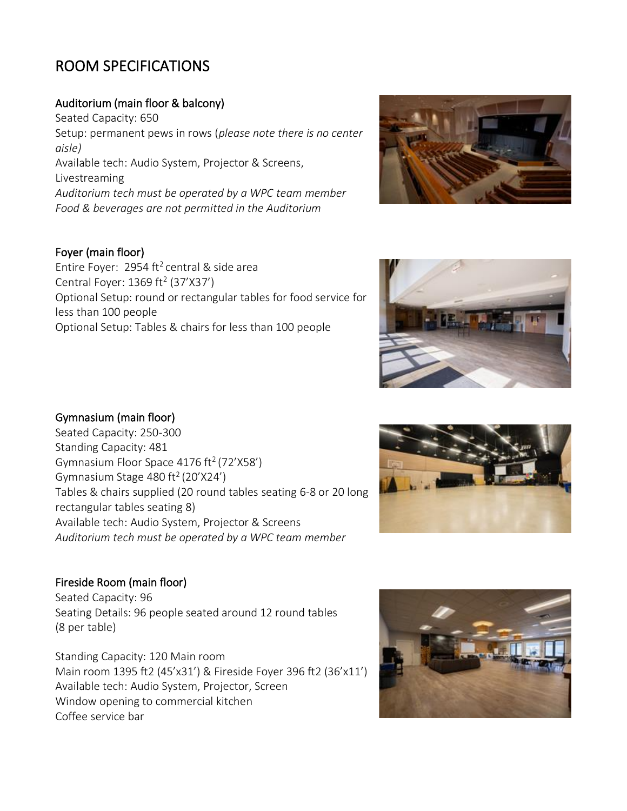# ROOM SPECIFICATIONS

### Auditorium (main floor & balcony)

Seated Capacity: 650 Setup: permanent pews in rows (*please note there is no center aisle)* Available tech: Audio System, Projector & Screens, Livestreaming *Auditorium tech must be operated by a WPC team member Food & beverages are not permitted in the Auditorium*

#### Foyer (main floor)

Entire Foyer: 2954 ft<sup>2</sup> central & side area Central Foyer: 1369 ft<sup>2</sup> (37'X37') Optional Setup: round or rectangular tables for food service for less than 100 people Optional Setup: Tables & chairs for less than 100 people





#### Gymnasium (main floor)

Seated Capacity: 250-300 Standing Capacity: 481 Gymnasium Floor Space 4176 ft<sup>2</sup> (72'X58') Gymnasium Stage 480 ft<sup>2</sup> (20'X24') Tables & chairs supplied (20 round tables seating 6-8 or 20 long rectangular tables seating 8) Available tech: Audio System, Projector & Screens *Auditorium tech must be operated by a WPC team member*



#### Fireside Room (main floor)

Seated Capacity: 96 Seating Details: 96 people seated around 12 round tables (8 per table)

Standing Capacity: 120 Main room Main room 1395 ft2 (45'x31') & Fireside Foyer 396 ft2 (36'x11') Available tech: Audio System, Projector, Screen Window opening to commercial kitchen Coffee service bar

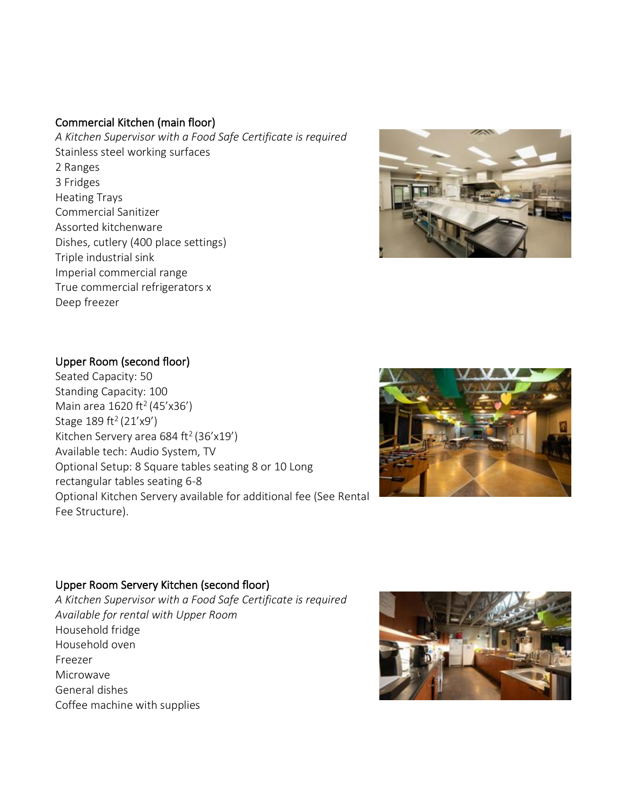#### Commercial Kitchen (main floor)

*A Kitchen Supervisor with a Food Safe Certificate is required* Stainless steel working surfaces 2 Ranges 3 Fridges Heating Trays Commercial Sanitizer Assorted kitchenware Dishes, cutlery (400 place settings) Triple industrial sink Imperial commercial range True commercial refrigerators x Deep freezer



#### Upper Room (second floor)

Seated Capacity: 50 Standing Capacity: 100 Main area 1620 ft<sup>2</sup> (45'x36') Stage 189 ft<sup>2</sup> (21'x9') Kitchen Servery area 684 ft<sup>2</sup> (36'x19') Available tech: Audio System, TV Optional Setup: 8 Square tables seating 8 or 10 Long rectangular tables seating 6-8 Optional Kitchen Servery available for additional fee (See Rental Fee Structure).



#### Upper Room Servery Kitchen (second floor)

*A Kitchen Supervisor with a Food Safe Certificate is required Available for rental with Upper Room* Household fridge Household oven Freezer Microwave General dishes Coffee machine with supplies